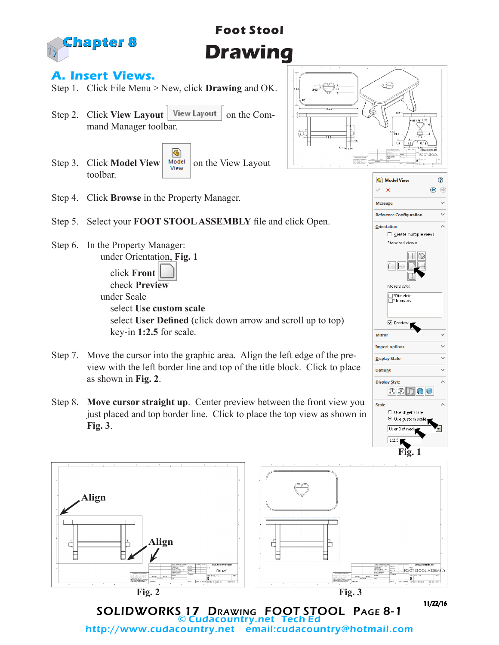

# **Foot Stool Drawing**

#### **A. Insert Views.**

- Step 1. Click File Menu > New, click **Drawing** and OK.
- Step 2. Click **View Layout** | View Layout | on the Command Manager toolbar.
- ® Step 3. Click **Model View** where  $\frac{M_{\text{Odd}}}{V_{\text{new}}}$  on the View Layout toolbar.



**G** Model View

Reference Configuration

More views <sup>\*Dimetric</sup> ™ \*Trimetric

**▽** Preview

肉肉わけし

Use sheet scale  $\odot$  Use custom scale User Defined

Mirror **Import options** 

**Display State** 

Options **Display Style** 

Scale

□ Create multiple views Standard views:

 $\Box$ 

 $\overline{\mathbf{x}}$ 

**Message** 

Orientation

 $\odot$ 

Ü

Ü  $\ddot{\phantom{0}}$ 

U

 $\lambda$ 

 $\bigcirc$  $\odot$ Ų

- Step 4. Click **Browse** in the Property Manager.
- Step 5. Select your **FOOT STOOL ASSEMBLY** file and click Open.
- Step 6. In the Property Manager: under Orientation, **Fig. 1**

 click **Front** check **Preview** under Scale select **Use custom scale** select **User Defined** (click down arrow and scroll up to top) key-in **1:2.5** for scale.

- Step 7. Move the cursor into the graphic area. Align the left edge of the preview with the left border line and top of the title block. Click to place as shown in **Fig. 2**.
- Step 8. **Move cursor straight up**. Center preview between the front view you just placed and top border line. Click to place the top view as shown in **Fig. 3**.



SOLIDWORKS 17 DRAWING FOOT STOOL PAGE 8-1 © Cudacountry.net Tech Ed email:cudacountry@hotmail.com 11/22/16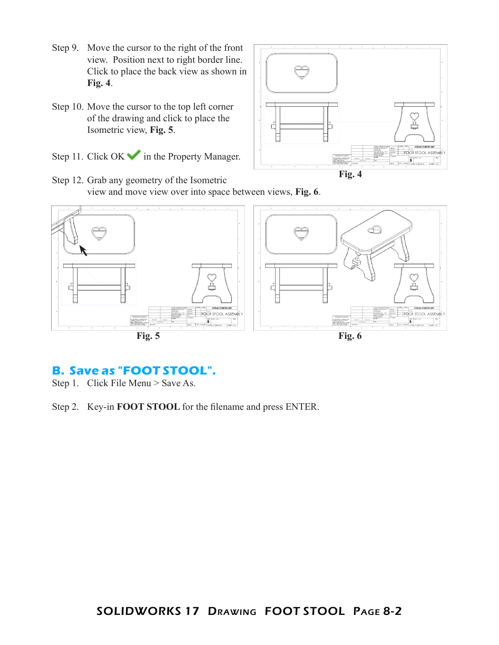- Step 9. Move the cursor to the right of the front view. Position next to right border line. Click to place the back view as shown in **Fig. 4**.
- Step 10. Move the cursor to the top left corner of the drawing and click to place the Isometric view, **Fig. 5**.
- Step 11. Click  $OK \rightarrow \infty$  in the Property Manager.



Step 12. Grab any geometry of the Isometric view and move view over into space between views, **Fig. 6**.



## **B. Save as "FOOT STOOL".**

Step 1. Click File Menu > Save As.

Step 2. Key-in **FOOT STOOL** for the filename and press ENTER.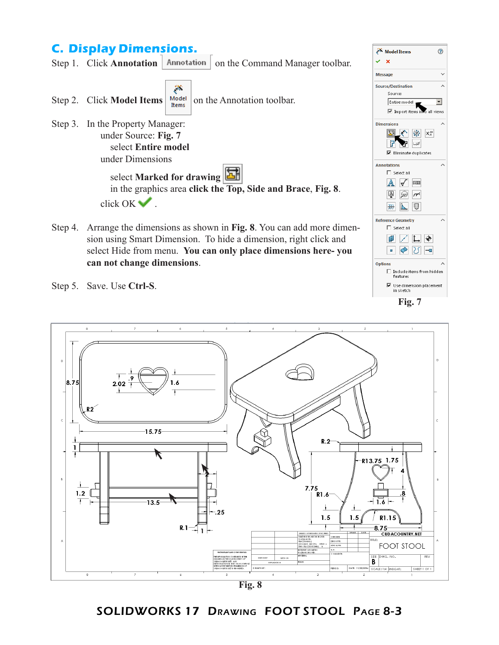### **C. Display Dimensions.**



Step 4. Arrange the dimensions as shown in **Fig. 8**. You can add more dimension using Smart Dimension. To hide a dimension, right click and select Hide from menu. **You can only place dimensions here- you can not change dimensions**.



Step 5. Save. Use **Ctrl-S**.



**Fig. 8**

#### SOLIDWORKS 17 Drawing FOOT STOOL Page 8-3